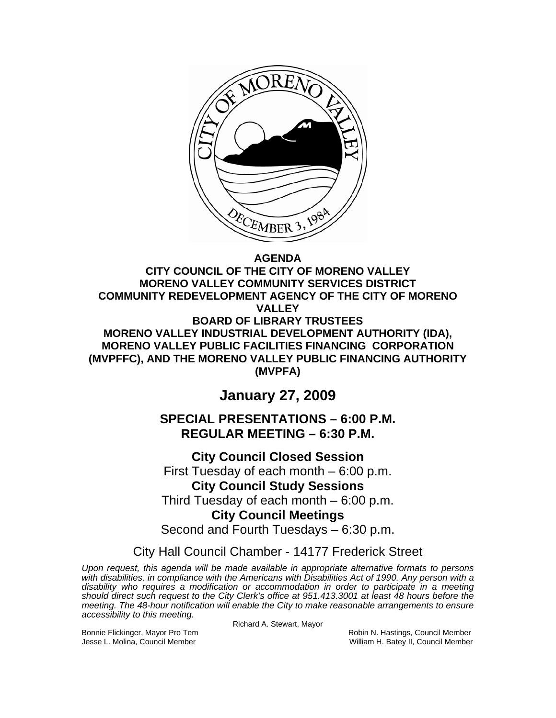

# **AGENDA**

**CITY COUNCIL OF THE CITY OF MORENO VALLEY MORENO VALLEY COMMUNITY SERVICES DISTRICT COMMUNITY REDEVELOPMENT AGENCY OF THE CITY OF MORENO VALLEY BOARD OF LIBRARY TRUSTEES MORENO VALLEY INDUSTRIAL DEVELOPMENT AUTHORITY (IDA), MORENO VALLEY PUBLIC FACILITIES FINANCING CORPORATION (MVPFFC), AND THE MORENO VALLEY PUBLIC FINANCING AUTHORITY (MVPFA)** 

# **January 27, 2009**

**SPECIAL PRESENTATIONS – 6:00 P.M. REGULAR MEETING – 6:30 P.M.** 

**City Council Closed Session**  First Tuesday of each month – 6:00 p.m. **City Council Study Sessions**  Third Tuesday of each month – 6:00 p.m. **City Council Meetings**  Second and Fourth Tuesdays – 6:30 p.m.

City Hall Council Chamber - 14177 Frederick Street

*Upon request, this agenda will be made available in appropriate alternative formats to persons with disabilities, in compliance with the Americans with Disabilities Act of 1990. Any person with a disability who requires a modification or accommodation in order to participate in a meeting should direct such request to the City Clerk's office at 951.413.3001 at least 48 hours before the meeting. The 48-hour notification will enable the City to make reasonable arrangements to ensure accessibility to this meeting.*

Richard A. Stewart, Mayor

Bonnie Flickinger, Mayor Pro Tem **Robin American Council Member** Robin N. Hastings, Council Member Jesse L. Molina, Council Member William H. Batey II, Council Member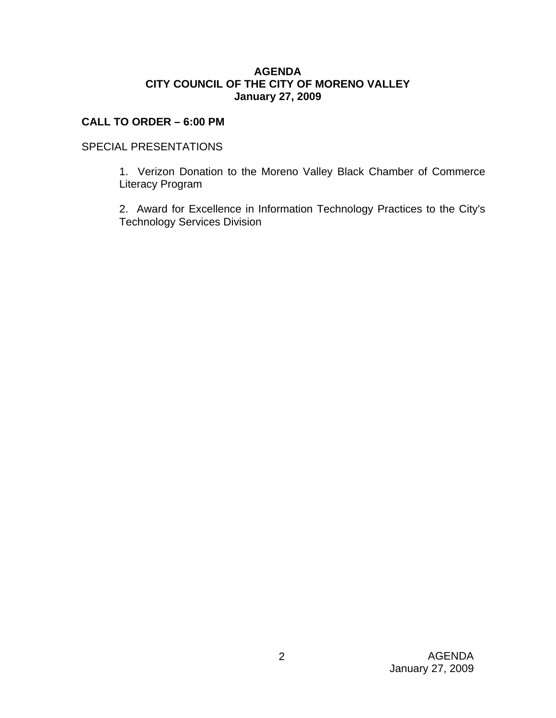## **AGENDA CITY COUNCIL OF THE CITY OF MORENO VALLEY January 27, 2009**

# **CALL TO ORDER – 6:00 PM**

# SPECIAL PRESENTATIONS

 1. Verizon Donation to the Moreno Valley Black Chamber of Commerce Literacy Program

 2. Award for Excellence in Information Technology Practices to the City's Technology Services Division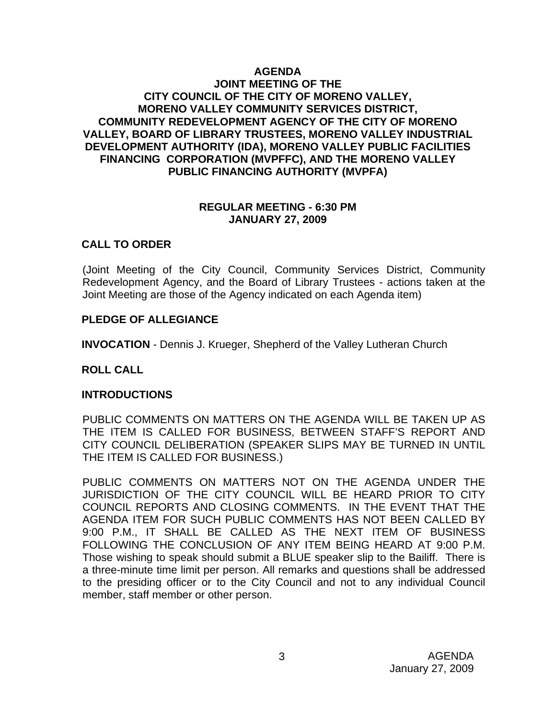## **AGENDA JOINT MEETING OF THE CITY COUNCIL OF THE CITY OF MORENO VALLEY, MORENO VALLEY COMMUNITY SERVICES DISTRICT, COMMUNITY REDEVELOPMENT AGENCY OF THE CITY OF MORENO VALLEY, BOARD OF LIBRARY TRUSTEES, MORENO VALLEY INDUSTRIAL DEVELOPMENT AUTHORITY (IDA), MORENO VALLEY PUBLIC FACILITIES FINANCING CORPORATION (MVPFFC), AND THE MORENO VALLEY PUBLIC FINANCING AUTHORITY (MVPFA)**

## **REGULAR MEETING - 6:30 PM JANUARY 27, 2009**

# **CALL TO ORDER**

(Joint Meeting of the City Council, Community Services District, Community Redevelopment Agency, and the Board of Library Trustees - actions taken at the Joint Meeting are those of the Agency indicated on each Agenda item)

## **PLEDGE OF ALLEGIANCE**

**INVOCATION** - Dennis J. Krueger, Shepherd of the Valley Lutheran Church

## **ROLL CALL**

## **INTRODUCTIONS**

PUBLIC COMMENTS ON MATTERS ON THE AGENDA WILL BE TAKEN UP AS THE ITEM IS CALLED FOR BUSINESS, BETWEEN STAFF'S REPORT AND CITY COUNCIL DELIBERATION (SPEAKER SLIPS MAY BE TURNED IN UNTIL THE ITEM IS CALLED FOR BUSINESS.)

PUBLIC COMMENTS ON MATTERS NOT ON THE AGENDA UNDER THE JURISDICTION OF THE CITY COUNCIL WILL BE HEARD PRIOR TO CITY COUNCIL REPORTS AND CLOSING COMMENTS. IN THE EVENT THAT THE AGENDA ITEM FOR SUCH PUBLIC COMMENTS HAS NOT BEEN CALLED BY 9:00 P.M., IT SHALL BE CALLED AS THE NEXT ITEM OF BUSINESS FOLLOWING THE CONCLUSION OF ANY ITEM BEING HEARD AT 9:00 P.M. Those wishing to speak should submit a BLUE speaker slip to the Bailiff. There is a three-minute time limit per person. All remarks and questions shall be addressed to the presiding officer or to the City Council and not to any individual Council member, staff member or other person.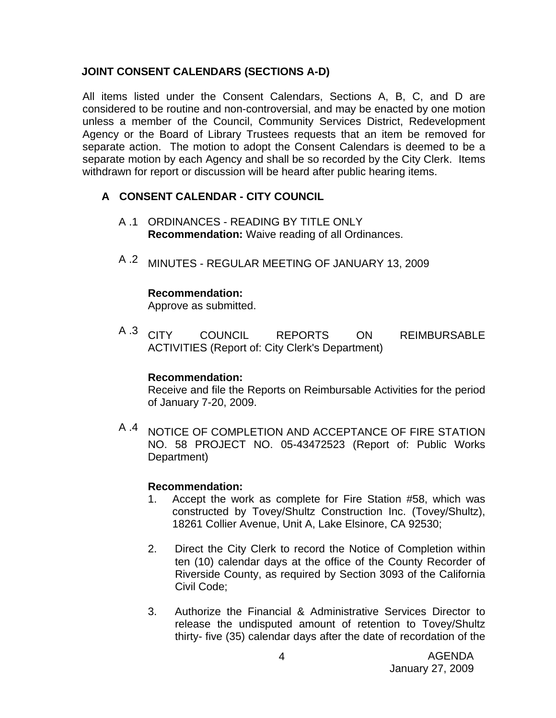# **JOINT CONSENT CALENDARS (SECTIONS A-D)**

All items listed under the Consent Calendars, Sections A, B, C, and D are considered to be routine and non-controversial, and may be enacted by one motion unless a member of the Council, Community Services District, Redevelopment Agency or the Board of Library Trustees requests that an item be removed for separate action. The motion to adopt the Consent Calendars is deemed to be a separate motion by each Agency and shall be so recorded by the City Clerk. Items withdrawn for report or discussion will be heard after public hearing items.

# **A CONSENT CALENDAR - CITY COUNCIL**

- A .1 ORDINANCES READING BY TITLE ONLY **Recommendation:** Waive reading of all Ordinances.
- A .2 MINUTES REGULAR MEETING OF JANUARY 13, 2009

#### **Recommendation:**

Approve as submitted.

A .3 CITY COUNCIL REPORTS ON REIMBURSABLE ACTIVITIES (Report of: City Clerk's Department)

#### **Recommendation:**

Receive and file the Reports on Reimbursable Activities for the period of January 7-20, 2009.

<sup>A .4</sup> NOTICE OF COMPLETION AND ACCEPTANCE OF FIRE STATION NO. 58 PROJECT NO. 05-43472523 (Report of: Public Works Department)

#### **Recommendation:**

- 1. Accept the work as complete for Fire Station #58, which was constructed by Tovey/Shultz Construction Inc. (Tovey/Shultz), 18261 Collier Avenue, Unit A, Lake Elsinore, CA 92530;
- 2. Direct the City Clerk to record the Notice of Completion within ten (10) calendar days at the office of the County Recorder of Riverside County, as required by Section 3093 of the California Civil Code;
- 3. Authorize the Financial & Administrative Services Director to release the undisputed amount of retention to Tovey/Shultz thirty- five (35) calendar days after the date of recordation of the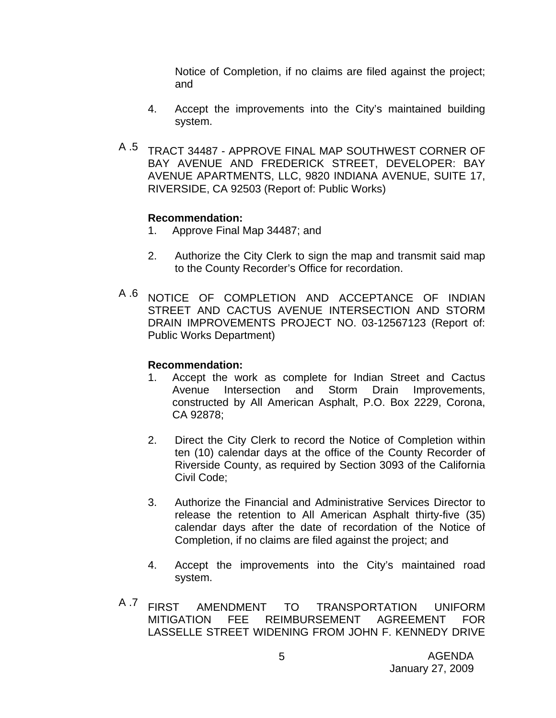Notice of Completion, if no claims are filed against the project; and

- 4. Accept the improvements into the City's maintained building system.
- A .5 TRACT 34487 APPROVE FINAL MAP SOUTHWEST CORNER OF BAY AVENUE AND FREDERICK STREET, DEVELOPER: BAY AVENUE APARTMENTS, LLC, 9820 INDIANA AVENUE, SUITE 17, RIVERSIDE, CA 92503 (Report of: Public Works)

## **Recommendation:**

- 1. Approve Final Map 34487; and
- 2. Authorize the City Clerk to sign the map and transmit said map to the County Recorder's Office for recordation.
- A 6 NOTICE OF COMPLETION AND ACCEPTANCE OF INDIAN STREET AND CACTUS AVENUE INTERSECTION AND STORM DRAIN IMPROVEMENTS PROJECT NO. 03-12567123 (Report of: Public Works Department)

### **Recommendation:**

- 1. Accept the work as complete for Indian Street and Cactus Avenue Intersection and Storm Drain Improvements, constructed by All American Asphalt, P.O. Box 2229, Corona, CA 92878;
- 2. Direct the City Clerk to record the Notice of Completion within ten (10) calendar days at the office of the County Recorder of Riverside County, as required by Section 3093 of the California Civil Code;
- 3. Authorize the Financial and Administrative Services Director to release the retention to All American Asphalt thirty-five (35) calendar days after the date of recordation of the Notice of Completion, if no claims are filed against the project; and
- 4. Accept the improvements into the City's maintained road system.
- A .7 FIRST AMENDMENT TO TRANSPORTATION UNIFORM MITIGATION FEE REIMBURSEMENT AGREEMENT FOR LASSELLE STREET WIDENING FROM JOHN F. KENNEDY DRIVE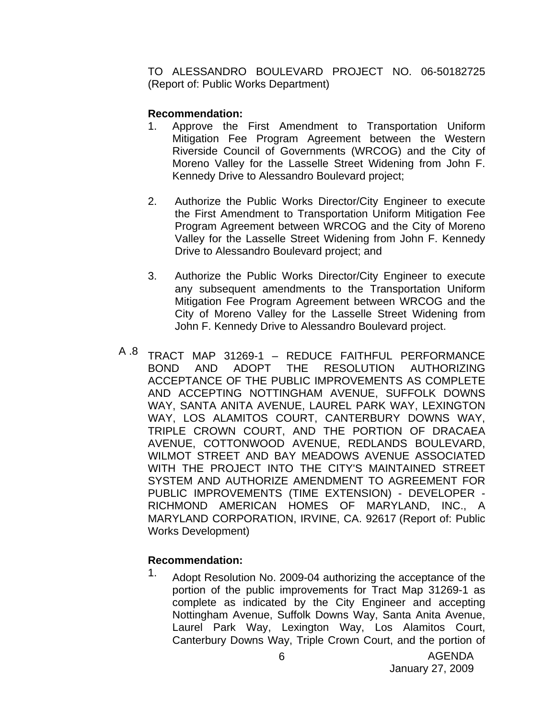TO ALESSANDRO BOULEVARD PROJECT NO. 06-50182725 (Report of: Public Works Department)

# **Recommendation:**

- 1. Approve the First Amendment to Transportation Uniform Mitigation Fee Program Agreement between the Western Riverside Council of Governments (WRCOG) and the City of Moreno Valley for the Lasselle Street Widening from John F. Kennedy Drive to Alessandro Boulevard project;
- 2. Authorize the Public Works Director/City Engineer to execute the First Amendment to Transportation Uniform Mitigation Fee Program Agreement between WRCOG and the City of Moreno Valley for the Lasselle Street Widening from John F. Kennedy Drive to Alessandro Boulevard project; and
- 3. Authorize the Public Works Director/City Engineer to execute any subsequent amendments to the Transportation Uniform Mitigation Fee Program Agreement between WRCOG and the City of Moreno Valley for the Lasselle Street Widening from John F. Kennedy Drive to Alessandro Boulevard project.
- A 8 TRACT MAP 31269-1 REDUCE FAITHFUL PERFORMANCE BOND AND ADOPT THE RESOLUTION AUTHORIZING ACCEPTANCE OF THE PUBLIC IMPROVEMENTS AS COMPLETE AND ACCEPTING NOTTINGHAM AVENUE, SUFFOLK DOWNS WAY, SANTA ANITA AVENUE, LAUREL PARK WAY, LEXINGTON WAY, LOS ALAMITOS COURT, CANTERBURY DOWNS WAY, TRIPLE CROWN COURT, AND THE PORTION OF DRACAEA AVENUE, COTTONWOOD AVENUE, REDLANDS BOULEVARD, WILMOT STREET AND BAY MEADOWS AVENUE ASSOCIATED WITH THE PROJECT INTO THE CITY'S MAINTAINED STREET SYSTEM AND AUTHORIZE AMENDMENT TO AGREEMENT FOR PUBLIC IMPROVEMENTS (TIME EXTENSION) - DEVELOPER - RICHMOND AMERICAN HOMES OF MARYLAND, INC., A MARYLAND CORPORATION, IRVINE, CA. 92617 (Report of: Public Works Development)

## **Recommendation:**

1. Adopt Resolution No. 2009-04 authorizing the acceptance of the portion of the public improvements for Tract Map 31269-1 as complete as indicated by the City Engineer and accepting Nottingham Avenue, Suffolk Downs Way, Santa Anita Avenue, Laurel Park Way, Lexington Way, Los Alamitos Court, Canterbury Downs Way, Triple Crown Court, and the portion of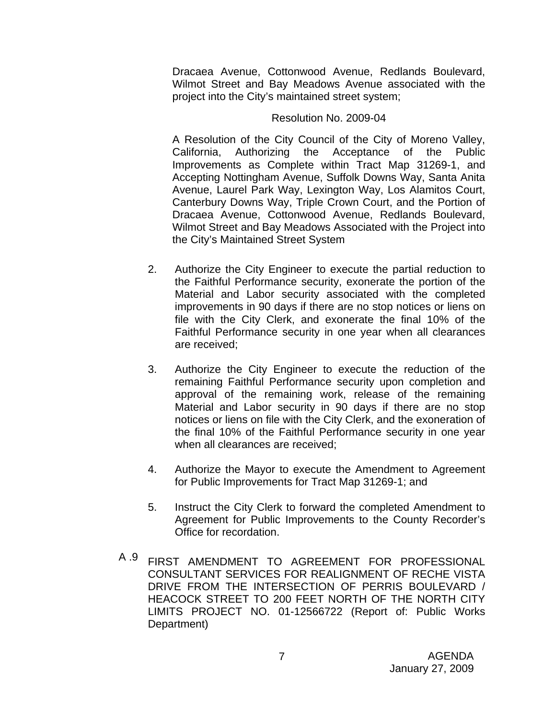Dracaea Avenue, Cottonwood Avenue, Redlands Boulevard, Wilmot Street and Bay Meadows Avenue associated with the project into the City's maintained street system;

#### Resolution No. 2009-04

A Resolution of the City Council of the City of Moreno Valley, California, Authorizing the Acceptance of the Public Improvements as Complete within Tract Map 31269-1, and Accepting Nottingham Avenue, Suffolk Downs Way, Santa Anita Avenue, Laurel Park Way, Lexington Way, Los Alamitos Court, Canterbury Downs Way, Triple Crown Court, and the Portion of Dracaea Avenue, Cottonwood Avenue, Redlands Boulevard, Wilmot Street and Bay Meadows Associated with the Project into the City's Maintained Street System

- 2. Authorize the City Engineer to execute the partial reduction to the Faithful Performance security, exonerate the portion of the Material and Labor security associated with the completed improvements in 90 days if there are no stop notices or liens on file with the City Clerk, and exonerate the final 10% of the Faithful Performance security in one year when all clearances are received;
- 3. Authorize the City Engineer to execute the reduction of the remaining Faithful Performance security upon completion and approval of the remaining work, release of the remaining Material and Labor security in 90 days if there are no stop notices or liens on file with the City Clerk, and the exoneration of the final 10% of the Faithful Performance security in one year when all clearances are received;
- 4. Authorize the Mayor to execute the Amendment to Agreement for Public Improvements for Tract Map 31269-1; and
- 5. Instruct the City Clerk to forward the completed Amendment to Agreement for Public Improvements to the County Recorder's Office for recordation.
- A .9 FIRST AMENDMENT TO AGREEMENT FOR PROFESSIONAL CONSULTANT SERVICES FOR REALIGNMENT OF RECHE VISTA DRIVE FROM THE INTERSECTION OF PERRIS BOULEVARD / HEACOCK STREET TO 200 FEET NORTH OF THE NORTH CITY LIMITS PROJECT NO. 01-12566722 (Report of: Public Works Department)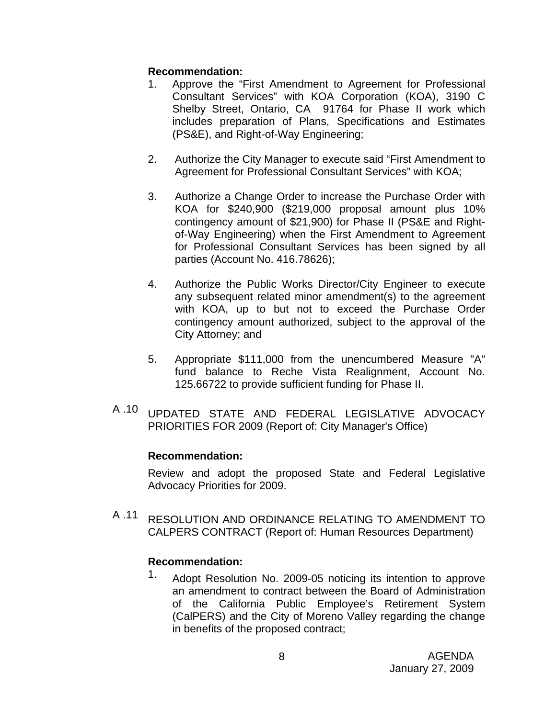# **Recommendation:**

- 1. Approve the "First Amendment to Agreement for Professional Consultant Services" with KOA Corporation (KOA), 3190 C Shelby Street, Ontario, CA 91764 for Phase II work which includes preparation of Plans, Specifications and Estimates (PS&E), and Right-of-Way Engineering;
- 2. Authorize the City Manager to execute said "First Amendment to Agreement for Professional Consultant Services" with KOA;
- 3. Authorize a Change Order to increase the Purchase Order with KOA for \$240,900 (\$219,000 proposal amount plus 10% contingency amount of \$21,900) for Phase II (PS&E and Rightof-Way Engineering) when the First Amendment to Agreement for Professional Consultant Services has been signed by all parties (Account No. 416.78626);
- 4. Authorize the Public Works Director/City Engineer to execute any subsequent related minor amendment(s) to the agreement with KOA, up to but not to exceed the Purchase Order contingency amount authorized, subject to the approval of the City Attorney; and
- 5. Appropriate \$111,000 from the unencumbered Measure "A" fund balance to Reche Vista Realignment, Account No. 125.66722 to provide sufficient funding for Phase II.
- A .10 UPDATED STATE AND FEDERAL LEGISLATIVE ADVOCACY PRIORITIES FOR 2009 (Report of: City Manager's Office)

# **Recommendation:**

Review and adopt the proposed State and Federal Legislative Advocacy Priorities for 2009.

A .11 RESOLUTION AND ORDINANCE RELATING TO AMENDMENT TO CALPERS CONTRACT (Report of: Human Resources Department)

# **Recommendation:**

1. Adopt Resolution No. 2009-05 noticing its intention to approve an amendment to contract between the Board of Administration of the California Public Employee's Retirement System (CalPERS) and the City of Moreno Valley regarding the change in benefits of the proposed contract;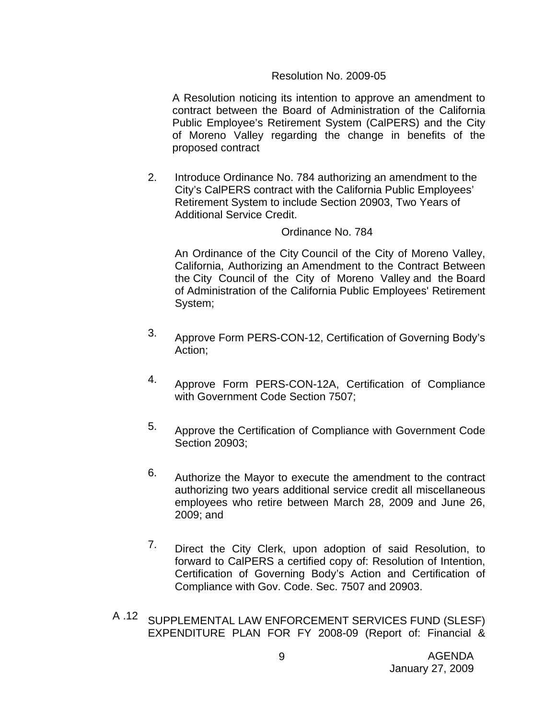## Resolution No. 2009-05

A Resolution noticing its intention to approve an amendment to contract between the Board of Administration of the California Public Employee's Retirement System (CalPERS) and the City of Moreno Valley regarding the change in benefits of the proposed contract

2. Introduce Ordinance No. 784 authorizing an amendment to the City's CalPERS contract with the California Public Employees' Retirement System to include Section 20903, Two Years of Additional Service Credit.

#### Ordinance No. 784

An Ordinance of the City Council of the City of Moreno Valley, California, Authorizing an Amendment to the Contract Between the City Council of the City of Moreno Valley and the Board of Administration of the California Public Employees' Retirement System;

- 3. Approve Form PERS-CON-12, Certification of Governing Body's Action;
- 4. Approve Form PERS-CON-12A, Certification of Compliance with Government Code Section 7507;
- 5. Approve the Certification of Compliance with Government Code Section 20903;
- 6. Authorize the Mayor to execute the amendment to the contract authorizing two years additional service credit all miscellaneous employees who retire between March 28, 2009 and June 26, 2009; and
- 7. Direct the City Clerk, upon adoption of said Resolution, to forward to CalPERS a certified copy of: Resolution of Intention, Certification of Governing Body's Action and Certification of Compliance with Gov. Code. Sec. 7507 and 20903.
- A .12 SUPPLEMENTAL LAW ENFORCEMENT SERVICES FUND (SLESF) EXPENDITURE PLAN FOR FY 2008-09 (Report of: Financial &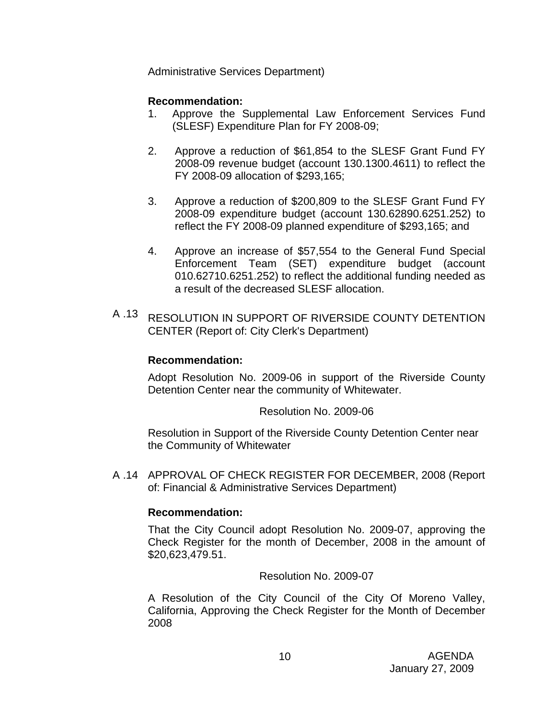Administrative Services Department)

# **Recommendation:**

- 1. Approve the Supplemental Law Enforcement Services Fund (SLESF) Expenditure Plan for FY 2008-09;
- 2. Approve a reduction of \$61,854 to the SLESF Grant Fund FY 2008-09 revenue budget (account 130.1300.4611) to reflect the FY 2008-09 allocation of \$293,165;
- 3. Approve a reduction of \$200,809 to the SLESF Grant Fund FY 2008-09 expenditure budget (account 130.62890.6251.252) to reflect the FY 2008-09 planned expenditure of \$293,165; and
- 4. Approve an increase of \$57,554 to the General Fund Special Enforcement Team (SET) expenditure budget (account 010.62710.6251.252) to reflect the additional funding needed as a result of the decreased SLESF allocation.
- A .13 RESOLUTION IN SUPPORT OF RIVERSIDE COUNTY DETENTION CENTER (Report of: City Clerk's Department)

## **Recommendation:**

Adopt Resolution No. 2009-06 in support of the Riverside County Detention Center near the community of Whitewater.

Resolution No. 2009-06

Resolution in Support of the Riverside County Detention Center near the Community of Whitewater

A .14 APPROVAL OF CHECK REGISTER FOR DECEMBER, 2008 (Report of: Financial & Administrative Services Department)

# **Recommendation:**

That the City Council adopt Resolution No. 2009-07, approving the Check Register for the month of December, 2008 in the amount of \$20,623,479.51.

Resolution No. 2009-07

A Resolution of the City Council of the City Of Moreno Valley, California, Approving the Check Register for the Month of December 2008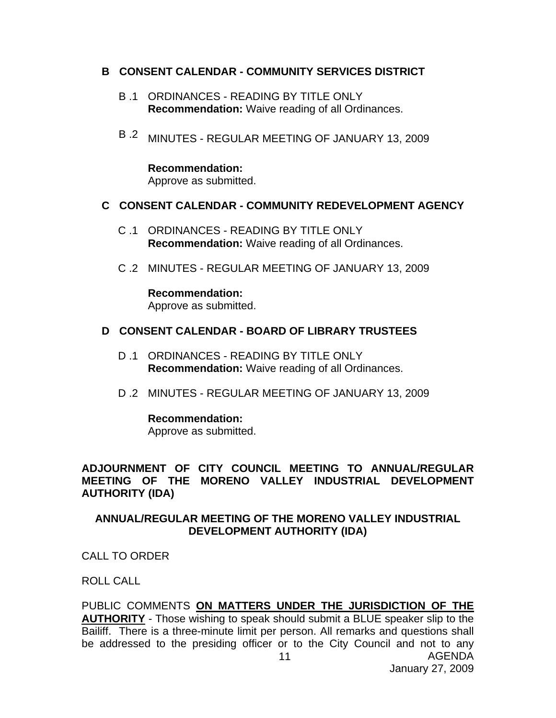### **B CONSENT CALENDAR - COMMUNITY SERVICES DISTRICT**

- B .1 ORDINANCES READING BY TITLE ONLY **Recommendation:** Waive reading of all Ordinances.
- B .2 MINUTES REGULAR MEETING OF JANUARY 13, 2009

**Recommendation:**  Approve as submitted.

## **C CONSENT CALENDAR - COMMUNITY REDEVELOPMENT AGENCY**

- C .1 ORDINANCES READING BY TITLE ONLY **Recommendation:** Waive reading of all Ordinances.
- C .2 MINUTES REGULAR MEETING OF JANUARY 13, 2009

**Recommendation:**  Approve as submitted.

### **D CONSENT CALENDAR - BOARD OF LIBRARY TRUSTEES**

- D .1 ORDINANCES READING BY TITLE ONLY **Recommendation:** Waive reading of all Ordinances.
- D .2 MINUTES REGULAR MEETING OF JANUARY 13, 2009

**Recommendation:** 

Approve as submitted.

**ADJOURNMENT OF CITY COUNCIL MEETING TO ANNUAL/REGULAR MEETING OF THE MORENO VALLEY INDUSTRIAL DEVELOPMENT AUTHORITY (IDA)** 

**ANNUAL/REGULAR MEETING OF THE MORENO VALLEY INDUSTRIAL DEVELOPMENT AUTHORITY (IDA)** 

CALL TO ORDER

ROLL CALL

AGENDA 11 PUBLIC COMMENTS **ON MATTERS UNDER THE JURISDICTION OF THE AUTHORITY** - Those wishing to speak should submit a BLUE speaker slip to the Bailiff. There is a three-minute limit per person. All remarks and questions shall be addressed to the presiding officer or to the City Council and not to any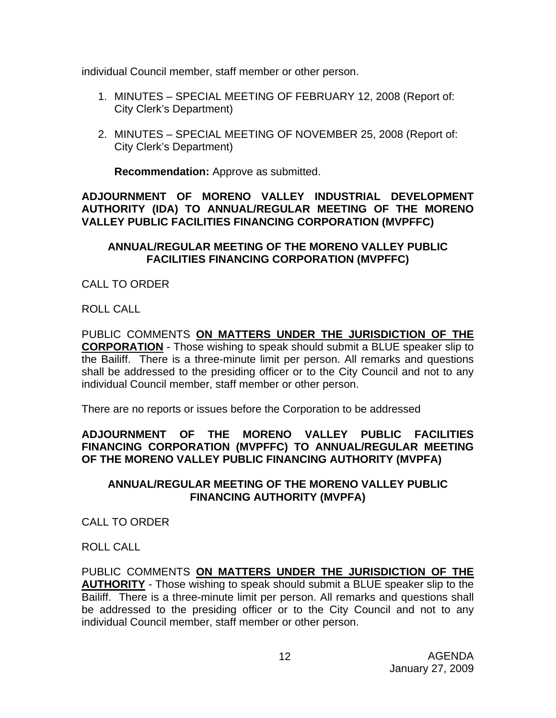individual Council member, staff member or other person.

- 1. MINUTES SPECIAL MEETING OF FEBRUARY 12, 2008 (Report of: City Clerk's Department)
- 2. MINUTES SPECIAL MEETING OF NOVEMBER 25, 2008 (Report of: City Clerk's Department)

**Recommendation:** Approve as submitted.

# **ADJOURNMENT OF MORENO VALLEY INDUSTRIAL DEVELOPMENT AUTHORITY (IDA) TO ANNUAL/REGULAR MEETING OF THE MORENO VALLEY PUBLIC FACILITIES FINANCING CORPORATION (MVPFFC)**

# **ANNUAL/REGULAR MEETING OF THE MORENO VALLEY PUBLIC FACILITIES FINANCING CORPORATION (MVPFFC)**

CALL TO ORDER

ROLL CALL

PUBLIC COMMENTS **ON MATTERS UNDER THE JURISDICTION OF THE CORPORATION** - Those wishing to speak should submit a BLUE speaker slip to the Bailiff. There is a three-minute limit per person. All remarks and questions shall be addressed to the presiding officer or to the City Council and not to any individual Council member, staff member or other person.

There are no reports or issues before the Corporation to be addressed

# **ADJOURNMENT OF THE MORENO VALLEY PUBLIC FACILITIES FINANCING CORPORATION (MVPFFC) TO ANNUAL/REGULAR MEETING OF THE MORENO VALLEY PUBLIC FINANCING AUTHORITY (MVPFA)**

# **ANNUAL/REGULAR MEETING OF THE MORENO VALLEY PUBLIC FINANCING AUTHORITY (MVPFA)**

CALL TO ORDER

ROLL CALL

PUBLIC COMMENTS **ON MATTERS UNDER THE JURISDICTION OF THE AUTHORITY** - Those wishing to speak should submit a BLUE speaker slip to the Bailiff. There is a three-minute limit per person. All remarks and questions shall be addressed to the presiding officer or to the City Council and not to any individual Council member, staff member or other person.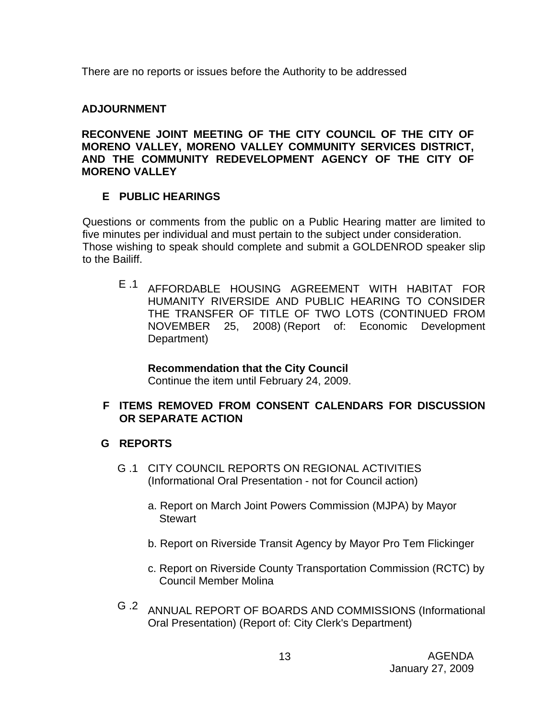There are no reports or issues before the Authority to be addressed

# **ADJOURNMENT**

**RECONVENE JOINT MEETING OF THE CITY COUNCIL OF THE CITY OF MORENO VALLEY, MORENO VALLEY COMMUNITY SERVICES DISTRICT, AND THE COMMUNITY REDEVELOPMENT AGENCY OF THE CITY OF MORENO VALLEY**

# **E PUBLIC HEARINGS**

Questions or comments from the public on a Public Hearing matter are limited to five minutes per individual and must pertain to the subject under consideration. Those wishing to speak should complete and submit a GOLDENROD speaker slip to the Bailiff.

E .1 AFFORDABLE HOUSING AGREEMENT WITH HABITAT FOR HUMANITY RIVERSIDE AND PUBLIC HEARING TO CONSIDER THE TRANSFER OF TITLE OF TWO LOTS (CONTINUED FROM NOVEMBER 25, 2008) (Report of: Economic Development Department)

# **Recommendation that the City Council**

Continue the item until February 24, 2009.

# **F ITEMS REMOVED FROM CONSENT CALENDARS FOR DISCUSSION OR SEPARATE ACTION**

# **G REPORTS**

- G .1 CITY COUNCIL REPORTS ON REGIONAL ACTIVITIES (Informational Oral Presentation - not for Council action)
	- a. Report on March Joint Powers Commission (MJPA) by Mayor **Stewart**
	- b. Report on Riverside Transit Agency by Mayor Pro Tem Flickinger
	- c. Report on Riverside County Transportation Commission (RCTC) by Council Member Molina
- G .2 ANNUAL REPORT OF BOARDS AND COMMISSIONS (Informational Oral Presentation) (Report of: City Clerk's Department)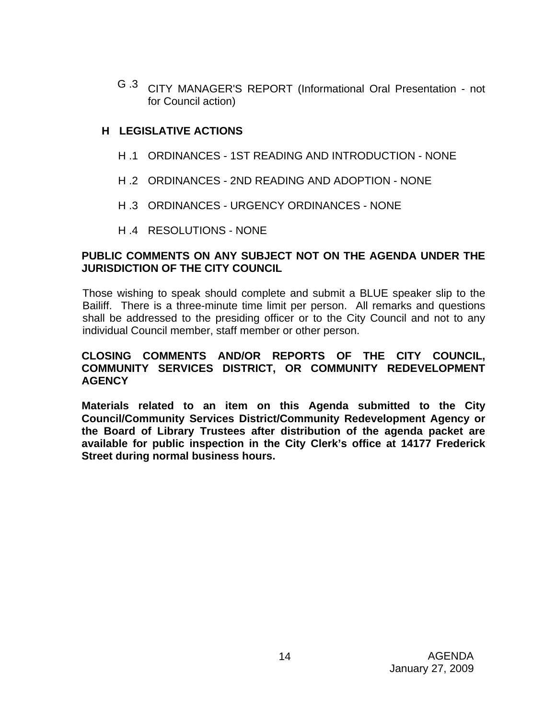G .3 CITY MANAGER'S REPORT (Informational Oral Presentation - not for Council action)

# **H LEGISLATIVE ACTIONS**

- H .1 ORDINANCES 1ST READING AND INTRODUCTION NONE
- H .2 ORDINANCES 2ND READING AND ADOPTION NONE
- H .3 ORDINANCES URGENCY ORDINANCES NONE
- H .4 RESOLUTIONS NONE

## **PUBLIC COMMENTS ON ANY SUBJECT NOT ON THE AGENDA UNDER THE JURISDICTION OF THE CITY COUNCIL**

Those wishing to speak should complete and submit a BLUE speaker slip to the Bailiff. There is a three-minute time limit per person. All remarks and questions shall be addressed to the presiding officer or to the City Council and not to any individual Council member, staff member or other person.

# **CLOSING COMMENTS AND/OR REPORTS OF THE CITY COUNCIL, COMMUNITY SERVICES DISTRICT, OR COMMUNITY REDEVELOPMENT AGENCY**

**Materials related to an item on this Agenda submitted to the City Council/Community Services District/Community Redevelopment Agency or the Board of Library Trustees after distribution of the agenda packet are available for public inspection in the City Clerk's office at 14177 Frederick Street during normal business hours.**